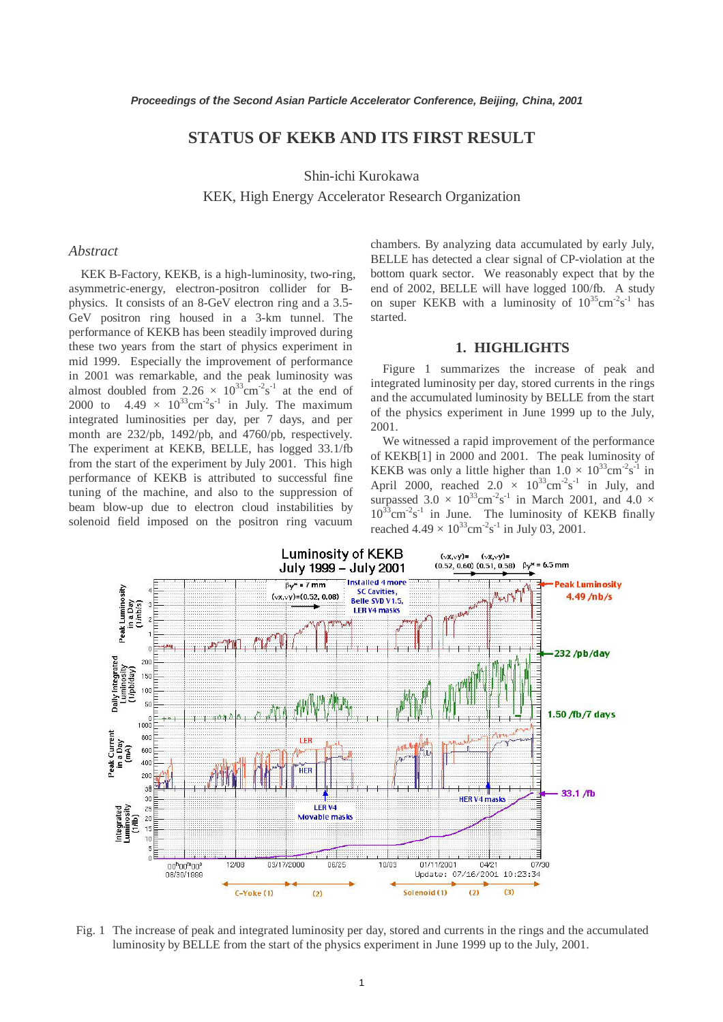# **STATUS OF KEKB AND ITS FIRST RESULT**

Shin-ichi Kurokawa

KEK, High Energy Accelerator Research Organization

### *Abstract*

KEK B-Factory, KEKB, is a high-luminosity, two-ring, asymmetric-energy, electron-positron collider for Bphysics. It consists of an 8-GeV electron ring and a 3.5- GeV positron ring housed in a 3-km tunnel. The performance of KEKB has been steadily improved during these two years from the start of physics experiment in mid 1999. Especially the improvement of performance in 2001 was remarkable, and the peak luminosity was almost doubled from  $2.26 \times 10^{33} \text{cm}^{-2} \text{s}^{-1}$  at the end of 2000 to  $4.49 \times 10^{33} \text{cm}^2 \text{s}^{-1}$  in July. The maximum integrated luminosities per day, per 7 days, and per month are 232/pb, 1492/pb, and 4760/pb, respectively. The experiment at KEKB, BELLE, has logged 33.1/fb from the start of the experiment by July 2001. This high performance of KEKB is attributed to successful fine tuning of the machine, and also to the suppression of beam blow-up due to electron cloud instabilities by solenoid field imposed on the positron ring vacuum

chambers. By analyzing data accumulated by early July, BELLE has detected a clear signal of CP-violation at the bottom quark sector. We reasonably expect that by the end of 2002, BELLE will have logged 100/fb. A study on super KEKB with a luminosity of  $10^{35}$ cm<sup>-2</sup>s<sup>-1</sup> has started.

#### **1. HIGHLIGHTS**

Figure 1 summarizes the increase of peak and integrated luminosity per day, stored currents in the rings and the accumulated luminosity by BELLE from the start of the physics experiment in June 1999 up to the July, 2001.

We witnessed a rapid improvement of the performance of KEKB[1] in 2000 and 2001. The peak luminosity of KEKB was only a little higher than  $1.0 \times 10^{33} \text{cm}^2 \text{s}^{-1}$  in April 2000, reached  $2.0 \times 10^{33} \text{cm}^{-2} \text{s}^{-1}$  in July, and surpassed  $3.0 \times 10^{33}$ cm<sup>-2</sup>s<sup>-1</sup> in March 2001, and 4.0  $\times$  $10^{33}$ cm<sup>-2</sup>s<sup>-1</sup> in June. The luminosity of KEKB finally reached  $4.49 \times 10^{33} \text{cm}^{-2} \text{s}^{-1}$  in July 03, 2001.



Fig. 1 The increase of peak and integrated luminosity per day, stored and currents in the rings and the accumulated luminosity by BELLE from the start of the physics experiment in June 1999 up to the July, 2001.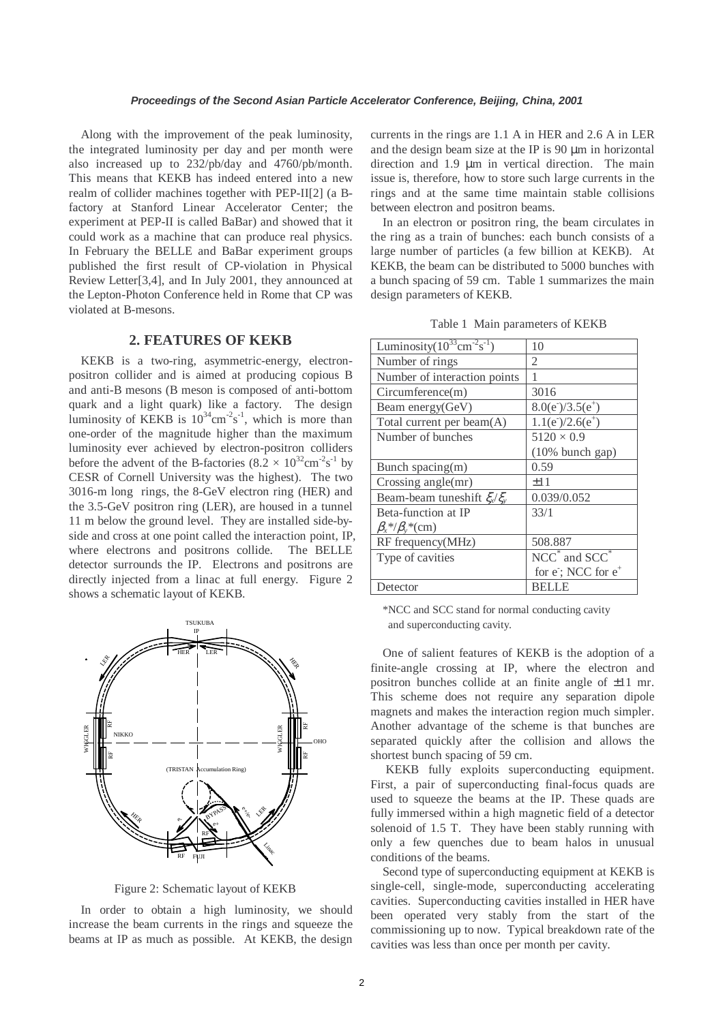Along with the improvement of the peak luminosity, the integrated luminosity per day and per month were also increased up to 232/pb/day and 4760/pb/month. This means that KEKB has indeed entered into a new realm of collider machines together with PEP-II[2] (a Bfactory at Stanford Linear Accelerator Center; the experiment at PEP-II is called BaBar) and showed that it could work as a machine that can produce real physics. In February the BELLE and BaBar experiment groups published the first result of CP-violation in Physical Review Letter[3,4], and In July 2001, they announced at the Lepton-Photon Conference held in Rome that CP was violated at B-mesons.

### **2. FEATURES OF KEKB**

KEKB is a two-ring, asymmetric-energy, electronpositron collider and is aimed at producing copious B and anti-B mesons (B meson is composed of anti-bottom quark and a light quark) like a factory. The design luminosity of KEKB is  $10^{34}$ cm<sup>-2</sup>s<sup>-1</sup>, which is more than one-order of the magnitude higher than the maximum luminosity ever achieved by electron-positron colliders before the advent of the B-factories  $(8.2 \times 10^{32} \text{cm}^{-2} \text{s}^{-1}$  by CESR of Cornell University was the highest). The two 3016-m long rings, the 8-GeV electron ring (HER) and the 3.5-GeV positron ring (LER), are housed in a tunnel 11 m below the ground level. They are installed side-byside and cross at one point called the interaction point, IP, where electrons and positrons collide. The BELLE detector surrounds the IP. Electrons and positrons are directly injected from a linac at full energy. Figure 2 shows a schematic layout of KEKB.

Linac TSUKUBA OHO FUJI NIKKO HER LER HER LER IP RF RF RF RF  $\mathcal{L}/\mathbb{N}$ e+  $\frac{c_s}{\epsilon}$ HER LER RF RF WIGGLER WIGGLER (TRISTAN Accumulation Ring) BYPASS

Figure 2: Schematic layout of KEKB

In order to obtain a high luminosity, we should increase the beam currents in the rings and squeeze the beams at IP as much as possible. At KEKB, the design

currents in the rings are 1.1 A in HER and 2.6 A in LER and the design beam size at the IP is 90 µm in horizontal direction and 1.9 µm in vertical direction. The main issue is, therefore, how to store such large currents in the rings and at the same time maintain stable collisions between electron and positron beams.

In an electron or positron ring, the beam circulates in the ring as a train of bunches: each bunch consists of a large number of particles (a few billion at KEKB). At KEKB, the beam can be distributed to 5000 bunches with a bunch spacing of 59 cm. Table 1 summarizes the main design parameters of KEKB.

|  |  | Table 1 Main parameters of KEKB |  |
|--|--|---------------------------------|--|
|--|--|---------------------------------|--|

| Luminosity $(10^{33} \text{cm}^{-2} \text{s}^{-1})$ | 10                            |
|-----------------------------------------------------|-------------------------------|
| Number of rings                                     | 2                             |
| Number of interaction points                        |                               |
| Circumference(m)                                    | 3016                          |
| Beam energy(GeV)                                    | $8.0(e^-)/3.5(e^+)$           |
| Total current per beam(A)                           | $1.1(e^-)/2.6(e^+)$           |
| Number of bunches                                   | $5120 \times 0.9$             |
|                                                     | (10% bunch gap)               |
| Bunch spacing(m)                                    | 0.59                          |
| Crossing angle(mr)                                  | ±11                           |
| Beam-beam tuneshift $\xi_x/\xi_y$                   | 0.039/0.052                   |
| Beta-function at IP                                 | 33/1                          |
| $\beta_x * / \beta_y * (cm)$                        |                               |
| RF frequency(MHz)                                   | 508.887                       |
| Type of cavities                                    | $NCC^*$ and $SCC^*$           |
|                                                     | for e; NCC for e <sup>+</sup> |
| Detector                                            | BELLE                         |

\*NCC and SCC stand for normal conducting cavity and superconducting cavity.

One of salient features of KEKB is the adoption of a finite-angle crossing at IP, where the electron and positron bunches collide at an finite angle of ±11 mr. This scheme does not require any separation dipole magnets and makes the interaction region much simpler. Another advantage of the scheme is that bunches are separated quickly after the collision and allows the shortest bunch spacing of 59 cm.

 KEKB fully exploits superconducting equipment. First, a pair of superconducting final-focus quads are used to squeeze the beams at the IP. These quads are fully immersed within a high magnetic field of a detector solenoid of 1.5 T. They have been stably running with only a few quenches due to beam halos in unusual conditions of the beams.

Second type of superconducting equipment at KEKB is single-cell, single-mode, superconducting accelerating cavities. Superconducting cavities installed in HER have been operated very stably from the start of the commissioning up to now. Typical breakdown rate of the cavities was less than once per month per cavity.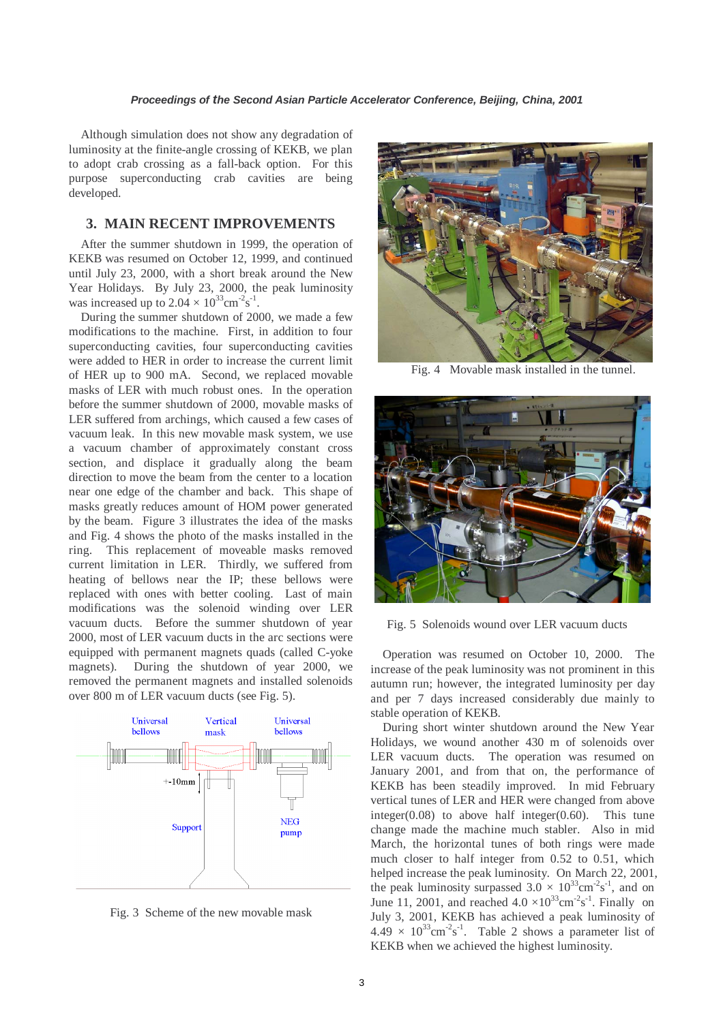Although simulation does not show any degradation of luminosity at the finite-angle crossing of KEKB, we plan to adopt crab crossing as a fall-back option. For this purpose superconducting crab cavities are being developed.

## **3. MAIN RECENT IMPROVEMENTS**

After the summer shutdown in 1999, the operation of KEKB was resumed on October 12, 1999, and continued until July 23, 2000, with a short break around the New Year Holidays. By July 23, 2000, the peak luminosity was increased up to  $2.04 \times 10^{33} \text{cm}^{-2} \text{s}^{-1}$ .

During the summer shutdown of 2000, we made a few modifications to the machine. First, in addition to four superconducting cavities, four superconducting cavities were added to HER in order to increase the current limit of HER up to 900 mA. Second, we replaced movable masks of LER with much robust ones. In the operation before the summer shutdown of 2000, movable masks of LER suffered from archings, which caused a few cases of vacuum leak. In this new movable mask system, we use a vacuum chamber of approximately constant cross section, and displace it gradually along the beam direction to move the beam from the center to a location near one edge of the chamber and back. This shape of masks greatly reduces amount of HOM power generated by the beam. Figure 3 illustrates the idea of the masks and Fig. 4 shows the photo of the masks installed in the ring. This replacement of moveable masks removed current limitation in LER. Thirdly, we suffered from heating of bellows near the IP; these bellows were replaced with ones with better cooling. Last of main modifications was the solenoid winding over LER vacuum ducts. Before the summer shutdown of year 2000, most of LER vacuum ducts in the arc sections were equipped with permanent magnets quads (called C-yoke magnets). During the shutdown of year 2000, we removed the permanent magnets and installed solenoids over 800 m of LER vacuum ducts (see Fig. 5).



Fig. 3 Scheme of the new movable mask



Fig. 4 Movable mask installed in the tunnel.



Fig. 5 Solenoids wound over LER vacuum ducts

Operation was resumed on October 10, 2000. The increase of the peak luminosity was not prominent in this autumn run; however, the integrated luminosity per day and per 7 days increased considerably due mainly to stable operation of KEKB.

During short winter shutdown around the New Year Holidays, we wound another 430 m of solenoids over LER vacuum ducts. The operation was resumed on January 2001, and from that on, the performance of KEKB has been steadily improved. In mid February vertical tunes of LER and HER were changed from above  $integer(0.08)$  to above half integer $(0.60)$ . This tune change made the machine much stabler. Also in mid March, the horizontal tunes of both rings were made much closer to half integer from 0.52 to 0.51, which helped increase the peak luminosity. On March 22, 2001, the peak luminosity surpassed  $3.0 \times 10^{33}$ cm<sup>-2</sup>s<sup>-1</sup>, and on June 11, 2001, and reached  $4.0 \times 10^{33}$ cm<sup>-2</sup>s<sup>-1</sup>. Finally on July 3, 2001, KEKB has achieved a peak luminosity of  $4.49 \times 10^{33}$ cm<sup>-2</sup>s<sup>-1</sup>. Table 2 shows a parameter list of KEKB when we achieved the highest luminosity.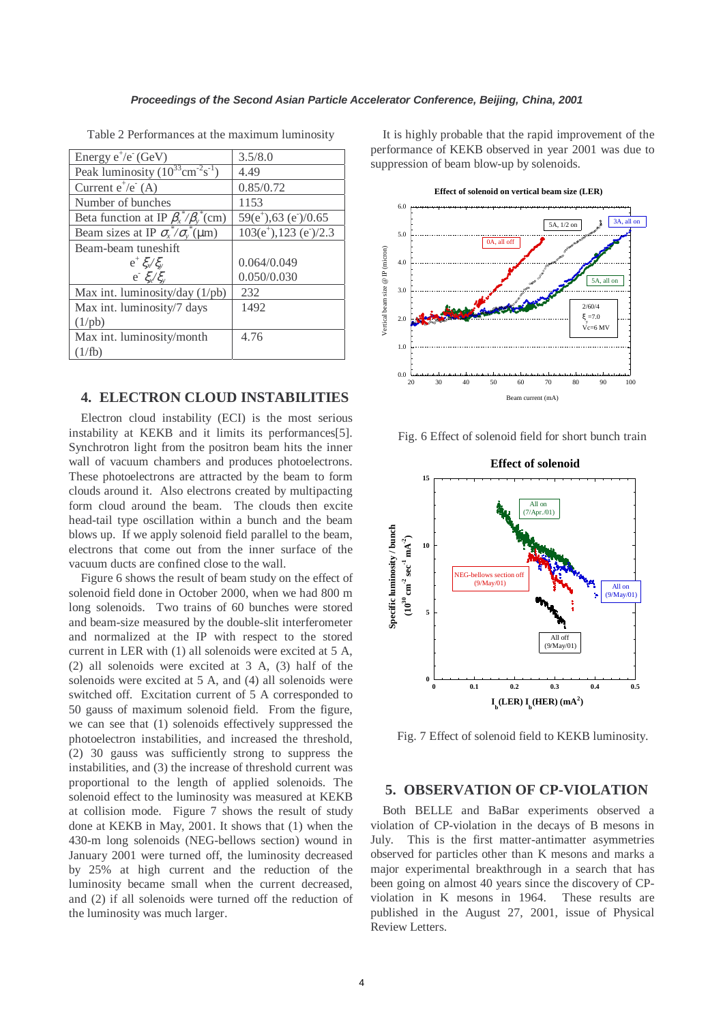| Energy $e^+/e^-(GeV)$                                    | 3.5/8.0                                                          |
|----------------------------------------------------------|------------------------------------------------------------------|
| Peak luminosity $(10^{33} \text{cm}^{-2} \text{s}^{-1})$ | 4.49                                                             |
| Current $e^+/e^-(A)$                                     | 0.85/0.72                                                        |
| Number of bunches                                        | 1153                                                             |
| Beta function at IP $\beta_x^* / \beta_y^*$ (cm)         | $59(e^{\scriptscriptstyle +}),63(e^{\scriptscriptstyle -})/0.65$ |
| Beam sizes at IP $\sigma_{x}^* / \sigma_{y}^* (\mu m)$   | $103(e^{\scriptscriptstyle +})$ , 123 (e <sup>-</sup> )/2.3      |
| Beam-beam tuneshift                                      |                                                                  |
| $e^+ \xi_v \xi_v$                                        | 0.064/0.049                                                      |
| $e^{-}\xi_{x}/\xi_{y}$                                   | 0.050/0.030                                                      |
| Max int. luminosity/day (1/pb)                           | 232                                                              |
| Max int. luminosity/7 days                               | 1492                                                             |
| $(1/\text{pb})$                                          |                                                                  |
| Max int. luminosity/month                                | 4.76                                                             |
| (1/fb)                                                   |                                                                  |
|                                                          |                                                                  |

Table 2 Performances at the maximum luminosity

# **4. ELECTRON CLOUD INSTABILITIES**

Electron cloud instability (ECI) is the most serious instability at KEKB and it limits its performances[5]. Synchrotron light from the positron beam hits the inner wall of vacuum chambers and produces photoelectrons. These photoelectrons are attracted by the beam to form clouds around it. Also electrons created by multipacting form cloud around the beam. The clouds then excite head-tail type oscillation within a bunch and the beam blows up. If we apply solenoid field parallel to the beam, electrons that come out from the inner surface of the vacuum ducts are confined close to the wall.

Figure 6 shows the result of beam study on the effect of solenoid field done in October 2000, when we had 800 m long solenoids. Two trains of 60 bunches were stored and beam-size measured by the double-slit interferometer and normalized at the IP with respect to the stored current in LER with (1) all solenoids were excited at 5 A, (2) all solenoids were excited at 3 A, (3) half of the solenoids were excited at 5 A, and (4) all solenoids were switched off. Excitation current of 5 A corresponded to 50 gauss of maximum solenoid field. From the figure, we can see that (1) solenoids effectively suppressed the photoelectron instabilities, and increased the threshold, (2) 30 gauss was sufficiently strong to suppress the instabilities, and (3) the increase of threshold current was proportional to the length of applied solenoids. The solenoid effect to the luminosity was measured at KEKB at collision mode. Figure 7 shows the result of study done at KEKB in May, 2001. It shows that (1) when the 430-m long solenoids (NEG-bellows section) wound in January 2001 were turned off, the luminosity decreased by 25% at high current and the reduction of the luminosity became small when the current decreased, and (2) if all solenoids were turned off the reduction of the luminosity was much larger.

It is highly probable that the rapid improvement of the performance of KEKB observed in year 2001 was due to suppression of beam blow-up by solenoids.



Fig. 6 Effect of solenoid field for short bunch train



Fig. 7 Effect of solenoid field to KEKB luminosity.

## **5. OBSERVATION OF CP-VIOLATION**

Both BELLE and BaBar experiments observed a violation of CP-violation in the decays of B mesons in July. This is the first matter-antimatter asymmetries observed for particles other than K mesons and marks a major experimental breakthrough in a search that has been going on almost 40 years since the discovery of CPviolation in K mesons in 1964. These results are published in the August 27, 2001, issue of Physical Review Letters.